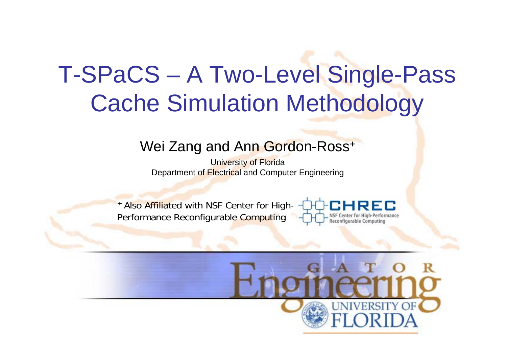## T-SPaCS – A Two-Level Single-Pass Cache Simulation Methodology

#### Wei Zang and Ann Gordon-Ross<sup>+</sup>

University of Florida Department of Electrical and Computer Engineering

+ Also Affiliated with NSF Center for High-Performance Reconfigurable Computing



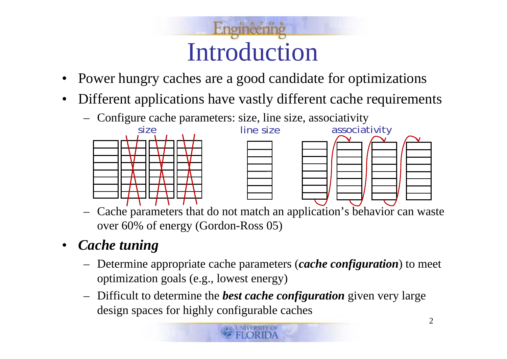

- •Power hungry caches are a good candidate for optimizations
- $\bullet$  Different applications have vastly different cache requirements
	- Configure cache parameters: size, line size, associativity



 Cache parameters that do not match an application's behavior can waste over 60% of energy (Gordon-Ross 05)

#### $\bullet$ *Cache tuning*

- Determine appropriate cache parameters (*cache configuration*) to meet optimization goals (e.g., lowest energy)
- Difficult to determine the *best cache configuration* given very large design spaces for highly configurable caches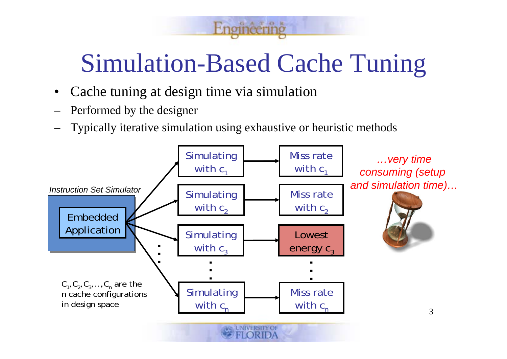# Simulation-Based Cache Tuning

GATOR

- •Cache tuning at design time via simulation
- Performed by the designer
- Typically iterative simulation using exhaustive or heuristic methods

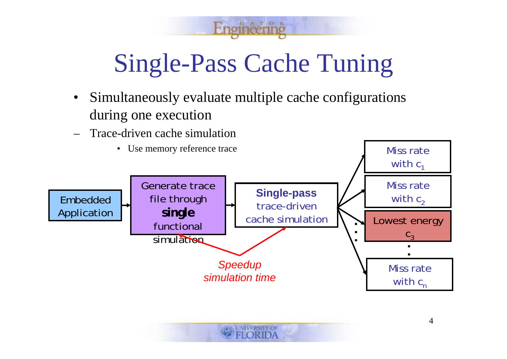

GATOR

- Simultaneously evaluate multiple cache configurations during one execution
- Trace-driven cache simulation

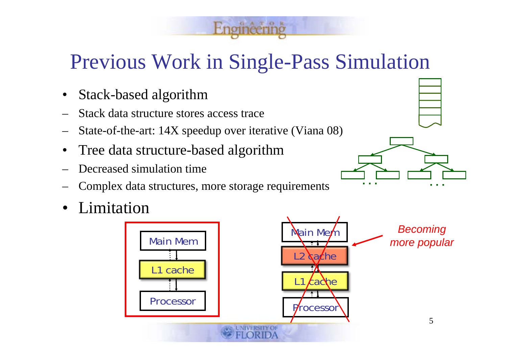#### Previous Work in Single-Pass Simulation

- •Stack-based algorithm
- –Stack data structure stores access trace
- –State-of-the-art: 14X speedup over iterative (Viana 08)
- •Tree data structure-based algorithm
- –Decreased simulation time
- –Complex data structures, more storage requirements
- •Limitation



**. . . . . .**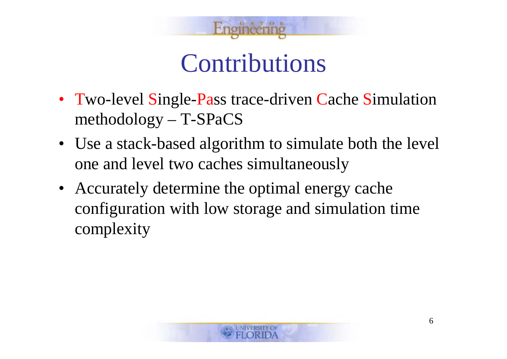

#### Contributions

- Two-level Single-Pass trace-driven Cache Simulation methodology – T-SPaCS
- Use a stack-based algorithm to simulate both the level one and level two caches simultaneously
- Accurately determine the optimal energy cache configuration with low storage and simulation time complexity

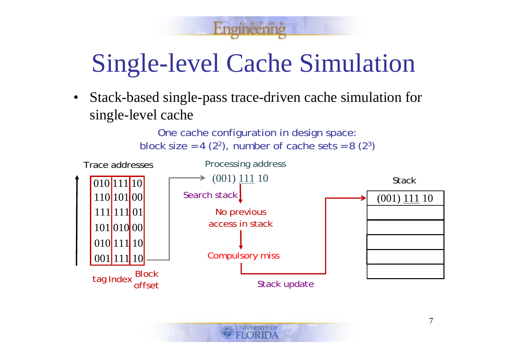ATOR

 $\bullet$  Stack-based single-pass trace-driven cache simulation for single-level cache

One cache configuration in design space:

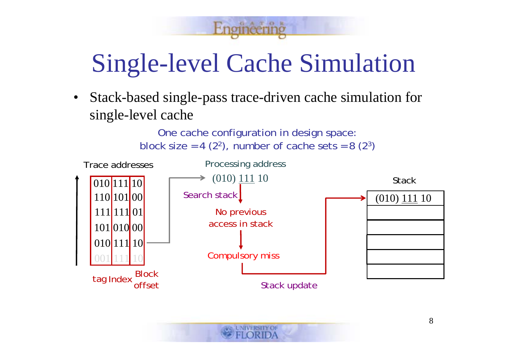ATOR

 $\bullet$  Stack-based single-pass trace-driven cache simulation for single-level cache

One cache configuration in design space:

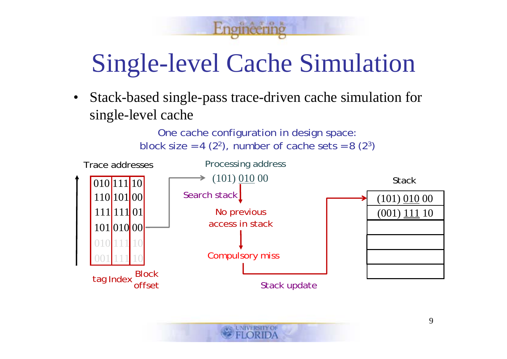ATOR

 $\bullet$  Stack-based single-pass trace-driven cache simulation for single-level cache

One cache configuration in design space:

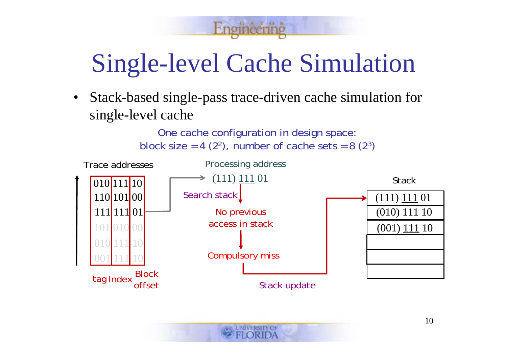ATOR

 $\bullet$  Stack-based single-pass trace-driven cache simulation for single-level cache

One cache configuration in design space:

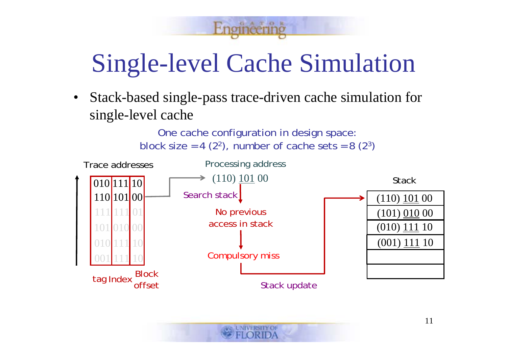ATOR

 $\bullet$  Stack-based single-pass trace-driven cache simulation for single-level cache

One cache configuration in design space:

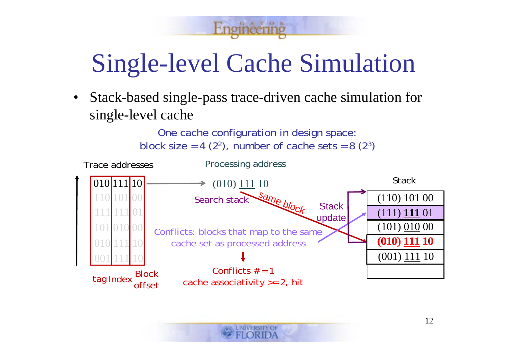ATOB

 $\bullet$  Stack-based single-pass trace-driven cache simulation for single-level cache

One cache configuration in design space:

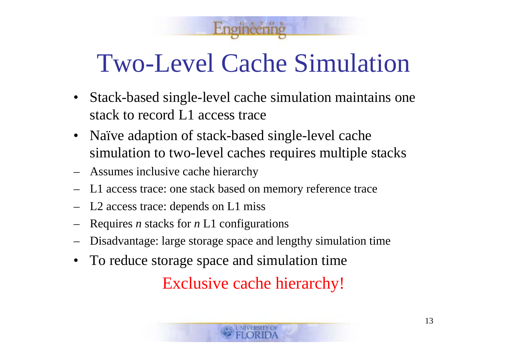Two-Level Cache Simulation

- Stack-based single-level cache simulation maintains one stack to record L1 access trace
- Naïve adaption of stack-based single-level cache simulation to two-level caches requires multiple stacks
- Assumes inclusive cache hierarchy
- L1 access trace: one stack based on memory reference trace
- L2 access trace: depends on L1 miss
- Requires *n* stacks for *n* L1 configurations
- Disadvantage: large storage space and lengthy simulation time
- $\bullet$ To reduce storage space and simulation time

Exclusive cache hierarchy!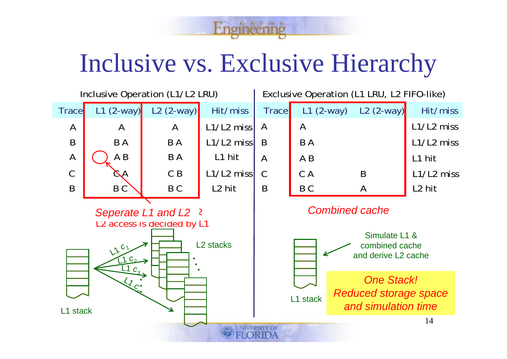

## Inclusive vs. Exclusive Hierarchy

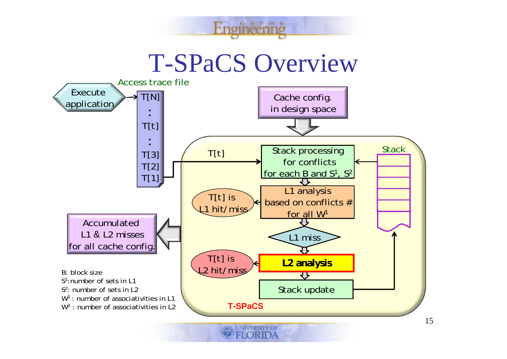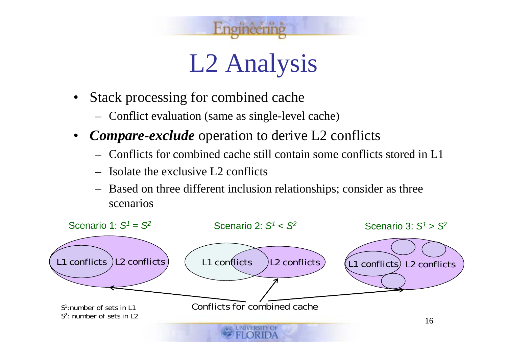

# L2 Analysis

- $\bullet$  Stack processing for combined cache
	- Conflict evaluation (same as single-level cache)
- $\bullet$  *Compare-exclude* operation to derive L2 conflicts
	- Conflicts for combined cache still contain some conflicts stored in L1
	- Isolate the exclusive L2 conflicts
	- Based on three different inclusion relationships; consider as three scenarios

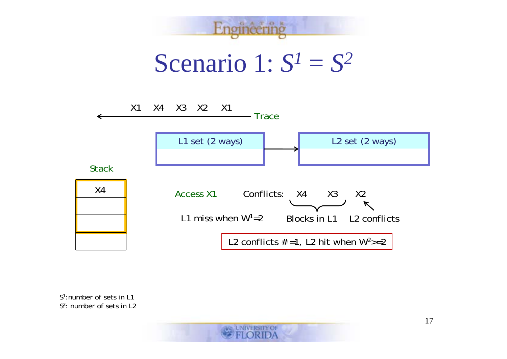

*S<sup>1</sup>*:number of sets in L1*S<sup>2</sup>*: number of sets in L2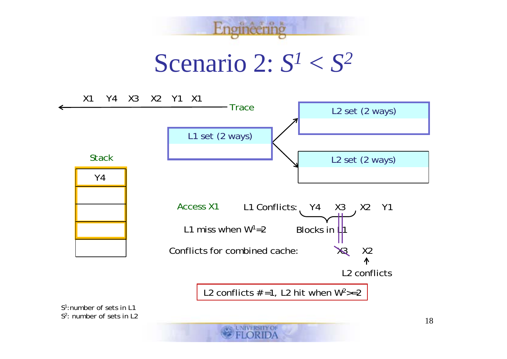

*S<sup>1</sup>*:number of sets in L1*S<sup>2</sup>*: number of sets in L2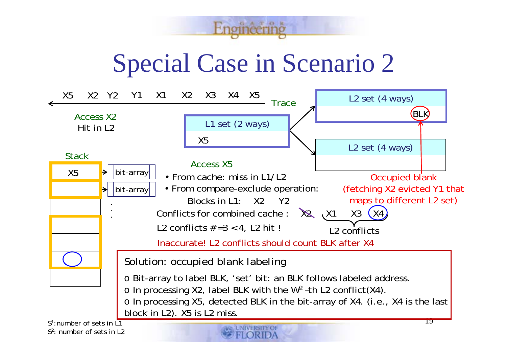GAT OR

Special Case in Scenario 2

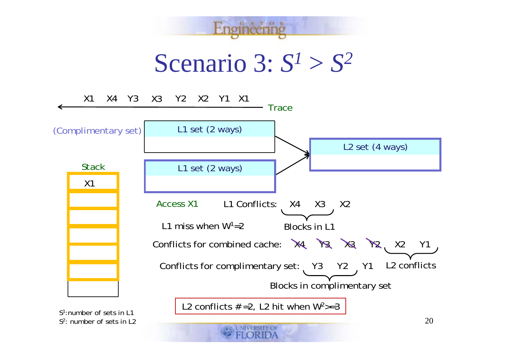

Scenario 3:  $S^1 > S^2$ 



*S<sup>2</sup>*: number of sets in L2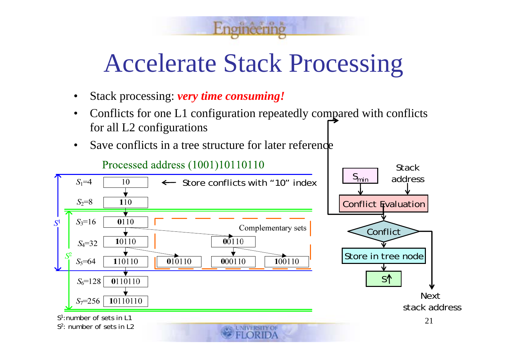#### Accelerate Stack Processing

GATOR

- •Stack processing: *very time consuming!*
- • Conflicts for one L1 configuration repeatedly compared with conflicts for all L2 configurations
- •Save conflicts in a tree structure for later reference

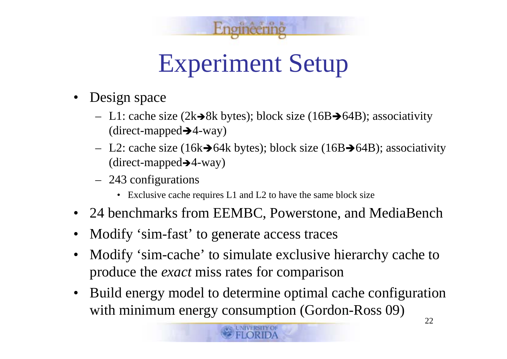

# Experiment Setup

- Design space
	- $\sim$  L1: cache size (2k $\rightarrow$ 8k bytes); block size (16B $\rightarrow$ 64B); associativity (direct-mapped $\rightarrow$ 4-way)
	- $-$  L2: cache size (16k $\rightarrow$ 64k bytes); block size (16B $\rightarrow$ 64B); associativity (direct-mapped→4-way)
	- 243 configurations
		- Exclusive cache requires L1 and L2 to have the same block size
- 24 benchmarks from EEMBC, Powerstone, and MediaBench
- •Modify 'sim-fast' to generate access traces
- $\bullet$  Modify 'sim-cache' to simulate exclusive hierarchy cache to produce the *exact* miss rates for comparison
- $\bullet$  Build energy model to determine optimal cache configuration with minimum energy consumption (Gordon-Ross  $09$ )  $_{22}$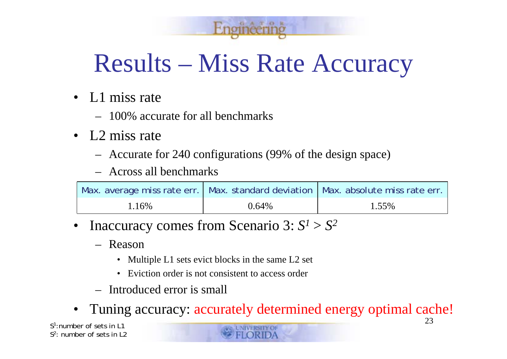# Results – Miss Rate Accuracy

- L1 miss rate
	- 100% accurate for all benchmarks
- L2 miss rate
	- Accurate for 240 configurations (99% of the design space)
	- Across all benchmarks

|         |          | Max. average miss rate err.   Max. standard deviation   Max. absolute miss rate err. |
|---------|----------|--------------------------------------------------------------------------------------|
| $.16\%$ | $0.64\%$ | 1.55%                                                                                |

- • Inaccuracy comes from Scenario 3: *S*  $l > S^2$ 
	- Reason
		- Multiple L1 sets evict blocks in the same L2 set
		- Eviction order is not consistent to access order
	- Introduced error is small
- •Tuning accuracy: accurately determined energy optimal cache!

*S<sup>1</sup>*:number of sets in L1*S<sup>2</sup>*: number of sets in L2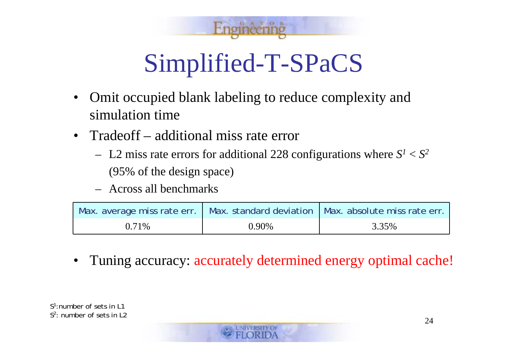

# Simplified-T-SPaCS

- $\bullet$  Omit occupied blank labeling to reduce complexity and simulation time
- $\bullet$  Tradeoff – additional miss rate error
	- L2 miss rate errors for additional 228 configurations where  $S<sup>1</sup> < S<sup>2</sup>$ (95% of the design space)
	- Across all benchmarks

|       |       | Max. average miss rate err.   Max. standard deviation   Max. absolute miss rate err. |
|-------|-------|--------------------------------------------------------------------------------------|
| 0.71% | 0.90% | 3.35%                                                                                |

•Tuning accuracy: accurately determined energy optimal cache!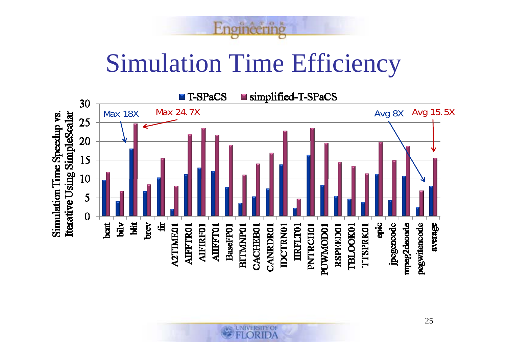Simulation Time Efficiency

 $0$   $A$   $T$   $Q$   $R$